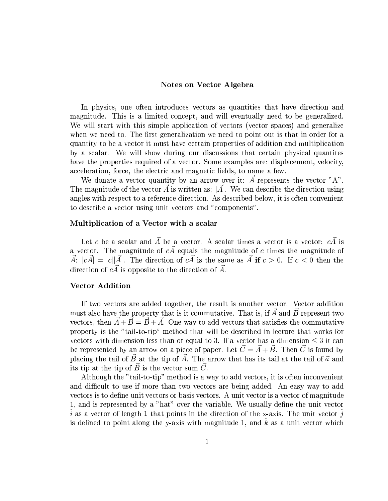### -

. The state  $\alpha$  is the state of the state of the state of the state of the state of the state of the state of the state of the state of the state of the state of the state of the state of the state of the state of the st magnitude. This is a limited concept, and will eventually need to be generalized. We will start with this simple application of vectors (vector spaces) and generalize Substitute in the contract of the contract of the contract of the contract of the contract of the contract of the contract of the contract of the contract of the contract of the contract of the contract of the contract of  $B_1$  , and the simulation of the simulation of the simulation of the simulation of the simulation of the  $B_1$ by a scalar. We will show during our discussions that certain physical quantities have the properties required of a vector. Some examples are: displacement, velocity,  $\mathbf{1}$   $\mathbf{1}^3$   $\mathbf{2}^4$   $\mathbf{3}^2$   $\mathbf{4}^3$   $\mathbf{5}^4$   $\mathbf{1}^3$   $\mathbf{1}^3$   $\mathbf{1}^3$   $\mathbf{1}^3$   $\mathbf{1}^3$   $\mathbf{1}^3$   $\mathbf{1}^3$   $\mathbf{1}^3$   $\mathbf{1}^3$   $\mathbf{1}^3$   $\mathbf{1}^3$   $\mathbf{1}^3$   $\mathbf{1}^3$   $\mathbf{1}^3$   $\math$ 

We donate a vector quantity by an arrow over it:  $\overrightarrow{A}$  represents the vector "A".  $\overline{3}$  and  $\overline{3}$  is a contract of  $\overline{3}$  in Let  $\overline{3}$  (or  $\overline{3}$  ),  $\overline{3}$  (for  $\overline{3}$  ),  $\overline{3}$  (s)  $\overline{3}$  (for  $\overline{3}$  ),  $\overline{3}$  (s)  $\overline{3}$  (s)  $\overline{3}$  (s)  $\overline{3}$  (s)  $\overline{3}$  (s)  $\overline{3}$  (s angles with respect to a reference direction. As described below, it is often convenient 4. No. 10. In the Common Common Common Common Common Common Common Common Common Common Common Common Common C

### o2K Nj4bP}/2CK

Let c be a scalar and  $\vec{A}$  be a vector. A scalar times a vector is a vector:  $c\vec{A}$  is  $\blacksquare$  . This is a dominant state of the contract  $\blacksquare$  . The contract of the contract of the contract of the contract of the contract of the contract of the contract of the contract of the contract of the contract of th  $\vec{A}: |c\vec{A}| = |c||\vec{A}|.$  The direction of  $c\vec{A}$  is the same as  $\vec{A}$  if  $c>0.$  If  $c<0$  then the direction of  $c\vec{A}$  is opposite to the direction of  $\vec{A}$ .

# Vector Addition

If two vectors are added together, the result is another vector. Vector addition must also have the property that is it commutative. That is, if  $\vec{A}$  and  $\vec{B}$  represent two vectors, then  $\vec{A} + \vec{B} = \vec{B} + \vec{A}$ . One way to add vectors that satisfies the commutative  $\mathcal{S}^*$  or the finite state of the finite state points of the finite parameters  $\mathcal{S}^*$  and  $\mathcal{S}^*$ =3/+-6802:8(cSU)E6?\$^;%)H3- %(8)E02 }QE3/(\*(c6?\$%@ 02:l3/B<C@DQ680|¬KL 5@=23-+-6802:V\$C@D(R@g;%)H3/ %(\*),02 -9¬b)J6l+@ X3{:\*3/"%:\*3/(83- '6?3/;-X'&r@D @:8:\*0S®0 @"%)E3/+/3h05m"C@"3/:-Lx3-6¯° G§ ¥L\_MO\$%3- ± ° )E(l502<K %;X'&  $\mathbb{R}^{n}$  ,  $\mathbb{R}^{n}$  ,  $\mathbb{R}^{n}$  ,  $\mathbb{R}^{n}$  ,  $\mathbb{R}^{n}$  ,  $\mathbb{R}^{n}$  ,  $\mathbb{R}^{n}$  ,  $\mathbb{R}^{n}$  ,  $\mathbb{R}^{n}$  ,  $\mathbb{R}^{n}$  ,  $\mathbb{R}^{n}$  ,  $\mathbb{R}^{n}$  ,  $\mathbb{R}^{n}$  ,  $\mathbb{R}^{n}$  ,  $\mathbb{R}^{n}$  ,  $\mathbb{R}^{n}$  $\cdots$  and  $\cdots$  entered in  $\alpha$ 

 ${\bf A}$  and  ${\bf B}$  are  ${\bf B}$  for  ${\bf B}$  and  ${\bf B}$  . The 2-40 constant  ${\bf B}$  is a set of  ${\bf B}$  $\mathbf{F}^{1}$  and  $\mathbf{F}^{2}$  are  $\mathbf{F}^{3}$  in  $\mathbf{F}^{3}$  and  $\mathbf{F}^{3}$  is a  $\mathbf{F}^{3}$  in  $\mathbf{F}^{3}$  $\pm$  3.fm  $\pm$  1.fm  $\pm$  1.fm  $\pm$  1.fm  $\pm$  1.fm  $\pm$  1.fm  $\pm$  1.fm  $\pm$  1.fm  $\pm$  $\,$  . (O:83- $\,$  . (O:83- $\,$  . (O:83- $\,$  . (O:83-fc  $\,$  . (O:8))  $\,$  . (O:83-fc  $\,$  . (O:83-fc  $\,$  . (O:83-fc  $\,$  . (O:83-fc  $\,$  . (O:83-fc  $\,$  . (O:83-fc  $\,$  . (O:83-fc  $\,$  . (O:83-fc  $\,$  . (O:83-fc  $\,$  .) as a contract of the contract of the contract of the contract of the contract of the contract of the contract of the contract of the contract of the contract of the contract of the contract of the contract of the contract  $\alpha$  , the sindical state  $\alpha$  is the sindical feature of  $\alpha$  . The sindical state  $\alpha$  $\mathbf{1}\cdot\mathbf{6}\cdot\mathbf{1}\cdot\mathbf{4}\cdot\mathbf{1}\cdot\mathbf{1}$ , is a constant  $\mathbf{1}\cdot\mathbf{1}$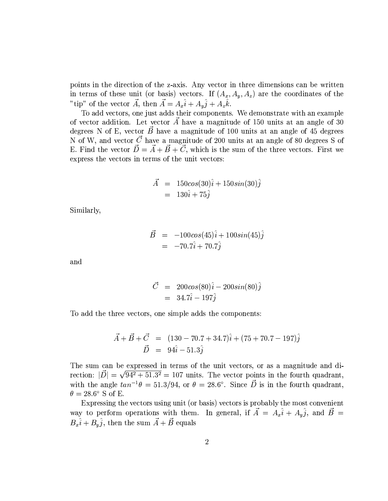points in the direction of the z-axis. Any vector in three dimensions can be written in terms of these unit (or basis) vectors. If  $(A_x, A_y, A_z)$  are the coordinates of the "tip" of the vector  $\vec{A}$ , then  $\vec{A} = A_x \hat{i} + A_y \hat{j} + A_z \hat{k}$ .

To add vectors, one just adds their components. We demonstrate with an example of vector addition. Let vector  $\vec{A}$  have a magnitude of 150 units at an angle of 30 degrees N of E, vector  $\vec{B}$  have a magnitude of 100 units at an angle of 45 degrees N of W, and vector  $\vec{C}$  have a magnitude of 200 units at an angle of 80 degrees S of E. Find the vector  $\vec{D} = \vec{A} + \vec{B} + \vec{C}$ , which is the sum of the three vectors. First we express the vectors in terms of the unit vectors:

$$
\begin{array}{rcl} \vec{A} & = & 150 \cos(30) \hat{i} + 150 \sin(30) \hat{j} \\ & = & 130 \hat{i} + 75 \hat{j} \end{array}
$$

Similarly,

$$
\begin{array}{rcl} \vec{B} & = & -100 \cos(45) \hat{i} + 100 \sin(45) \hat{j} \\ & = & -70.7 \hat{i} + 70.7 \hat{j} \end{array}
$$

and

$$
\begin{array}{rcl}\n\vec{C} & = & 200 \cos(80) \hat{i} - 200 \sin(80) \hat{j} \\
& = & 34.7 \hat{i} - 197 \hat{j}\n\end{array}
$$

To add the three vectors, one simple adds the components:

$$
\vec{A} + \vec{B} + \vec{C} = (130 - 70.7 + 34.7)\hat{i} + (75 + 70.7 - 197)\hat{j} \n\vec{D} = 94\hat{i} - 51.3\hat{j}
$$

The sum can be expressed in terms of the unit vectors, or as a magnitude and direction:  $|\vec{D}| = \sqrt{94^2 + 51.3^2} = 107$  units. The vector points in the fourth quadrant, with the angle  $tan^{-1}\theta = 51.3/94$ , or  $\theta = 28.6^{\circ}$ . Since  $\vec{D}$  is in the fourth quadrant,  $\theta = 28.6^{\circ}$  S of E.

Expressing the vectors using unit (or basis) vectors is probably the most convenient way to perform operations with them. In general, if  $\vec{A} = A_x \hat{i} + A_y \hat{j}$ , and  $\vec{B} = B_x \hat{i} + B_y \hat{j}$ , then the sum  $\vec{A} + \vec{B}$  equals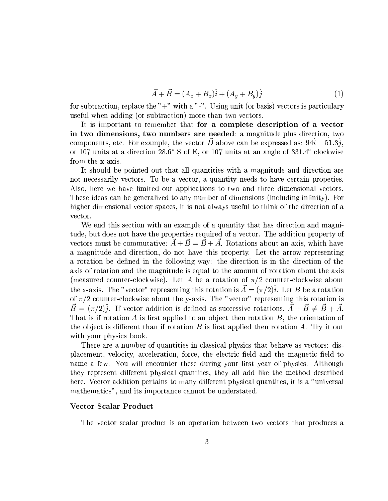$$
\vec{A} + \vec{B} = (A_x + B_x)\hat{i} + (A_y + B_y)\hat{j}
$$
\n(1)

for subtraction, replace the " $+$ " with a "-". Using unit (or basis) vectors is particulary useful when adding (or subtraction) more than two vectors.

It is important to remember that for a complete description of a vector in two dimensions, two numbers are needed: a magnitude plus direction, two components, etc. For example, the vector  $\vec{D}$  above can be expressed as:  $94\hat{i} - 51.3\hat{j}$ , or 107 units at a direction 28.6° S of E, or 107 units at an angle of 331.4° clockwise from the x-axis.

It should be pointed out that all quantities with a magnitude and direction are not necessarily vectors. To be a vector, a quantity needs to have certain properties. Also, here we have limited our applications to two and three dimensional vectors. These ideas can be generalized to any number of dimensions (including infinity). For higher dimensional vector spaces, it is not always useful to think of the direction of a vector.

We end this section with an example of a quantity that has direction and magnitude, but does not have the properties required of a vector. The addition property of vectors must be commutative:  $\vec{A} + \vec{B} = \vec{B} + \vec{A}$ . Rotations about an axis, which have a magnitude and direction, do not have this property. Let the arrow representing a rotation be defined in the following way: the direction is in the direction of the axis of rotation and the magnitude is equal to the amount of rotation about the axis (measured counter-clockwise). Let A be a rotation of  $\pi/2$  counter-clockwise about the x-axis. The "vector" representing this rotation is  $\vec{A} = (\pi/2)\hat{i}$ . Let B be a rotation of  $\pi/2$  counter-clockwise about the y-axis. The "vector" representing this rotation is  $\vec{B} = (\pi/2)\hat{j}$ . If vector addition is defined as successive rotations,  $\vec{A} + \vec{B} \neq \vec{B} + \vec{A}$ . That is if rotation A is first applied to an object then rotation  $B$ , the orientation of the object is different than if rotation  $B$  is first applied then rotation  $A$ . Try it out with your physics book.

There are a number of quantities in classical physics that behave as vectors: displacement, velocity, acceleration, force, the electric field and the magnetic field to name a few. You will encounter these during your first year of physics. Although they represent different physical quantities, they all add like the method described here. Vector addition pertains to many different physical quantities, it is a "universal" mathematics", and its importance cannot be understated.

### Vector Scalar Product

The vector scalar product is an operation between two vectors that produces a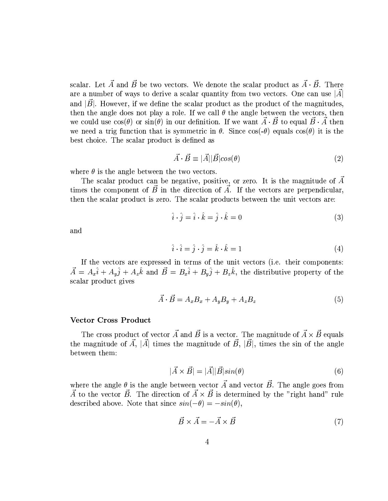scalar. Let  $\vec{A}$  and  $\vec{B}$  be two vectors. We denote the scalar product as  $\vec{A} \cdot \vec{B}$ . There are a number of ways to derive a scalar quantity from two vectors. One can use  $|\vec{A}|$ and  $|B|$ . However, if we define the scalar product as the product of the magnitudes, then the angle does not play a role. If we call  $\theta$  the angle between the vectors, then we could use  $cos(\theta)$  or  $sin(\theta)$  in our definition. If we want  $\vec{A} \cdot \vec{B}$  to equal  $\vec{B} \cdot \vec{A}$  then we need a trig function that is symmetric in  $\theta$ . Since cos(- $\theta$ ) equals cos( $\theta$ ) it is the best choice. The scalar product is defined as

$$
\vec{A} \cdot \vec{B} \equiv |\vec{A}| |\vec{B}| \cos(\theta) \tag{2}
$$

where  $\theta$  is the angle between the two vectors.

The scalar product can be negative, positive, or zero. It is the magnitude of  $\vec{A}$ times the component of  $\vec{B}$  in the direction of  $\vec{A}$ . If the vectors are perpendicular, then the scalar product is zero. The scalar products between the unit vectors are:

$$
\hat{i} \cdot \hat{j} = \hat{i} \cdot \hat{k} = \hat{j} \cdot \hat{k} = 0 \tag{3}
$$

and

$$
\hat{i} \cdot \hat{i} = \hat{j} \cdot \hat{j} = \hat{k} \cdot \hat{k} = 1 \tag{4}
$$

If the vectors are expressed in terms of the unit vectors (i.e. their components:  $\vec{A} = A_x \hat{i} + A_y \hat{j} + A_z \hat{k}$  and  $\vec{B} = B_x \hat{i} + B_y \hat{j} + B_z \hat{k}$ , the distributive property of the scalar product gives

$$
\vec{A} \cdot \vec{B} = A_x B_x + A_y B_y + A_z B_z \tag{5}
$$

# **Vector Cross Product**

The cross product of vector A and  $\vec{B}$  is a vector. The magnitude of  $\vec{A} \times \vec{B}$  equals the magnitude of A, |A| times the magnitude of B, |B|, times the sin of the angle between them:

$$
|\vec{A} \times \vec{B}| = |\vec{A}||\vec{B}|\sin(\theta)
$$
\n(6)

where the angle  $\theta$  is the angle between vector  $\vec{A}$  and vector  $\vec{B}$ . The angle goes from  $\vec{A}$  to the vector  $\vec{B}$ . The direction of  $\vec{A} \times \vec{B}$  is determined by the "right hand" rule described above. Note that since  $sin(-\theta) = -sin(\theta)$ ,

$$
\vec{B} \times \vec{A} = -\vec{A} \times \vec{B} \tag{7}
$$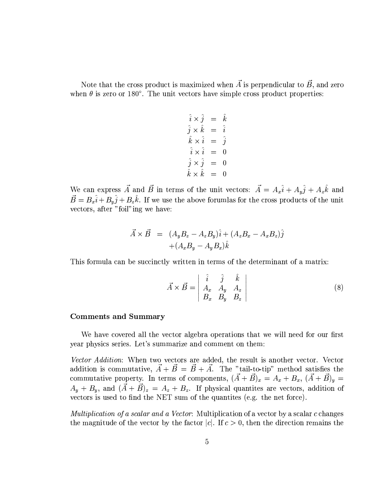Note that the cross product is maximized when  $\vec{A}$  is perpendicular to  $\vec{B}$ , and zero when  $\theta$  is zero or 180°. The unit vectors have simple cross product properties:

$$
\begin{array}{rcl}\n\hat{i} \times \hat{j} & = & \hat{k} \\
\hat{j} \times \hat{k} & = & \hat{i} \\
\hat{k} \times \hat{i} & = & \hat{j} \\
\hat{i} \times \hat{i} & = & 0 \\
\hat{j} \times \hat{j} & = & 0 \\
\hat{k} \times \hat{k} & = & 0\n\end{array}
$$

We can express  $\vec{A}$  and  $\vec{B}$  in terms of the unit vectors:  $\vec{A} = A_x \hat{i} + A_y \hat{j} + A_z \hat{k}$  and  $\vec{B} = B_x \hat{i} + B_y \hat{j} + B_z \hat{k}$ . If we use the above forumlas for the cross products of the unit vectors, after "foil"ing we have:

$$
\vec{A} \times \vec{B} = (A_y B_z - A_z B_y)\hat{i} + (A_z B_x - A_x B_z)\hat{j} \n+ (A_x B_y - A_y B_x)\hat{k}
$$

This formula can be succinctly written in terms of the determinant of a matrix:

$$
\vec{A} \times \vec{B} = \begin{vmatrix} \hat{i} & \hat{j} & \hat{k} \\ A_x & A_y & A_z \\ B_x & B_y & B_z \end{vmatrix}
$$
 (8)

# **Comments and Summary**

We have covered all the vector algebra operations that we will need for our first year physics series. Let's summarize and comment on them:

Vector Addition: When two vectors are added, the result is another vector. Vector addition is commutative,  $\vec{A} + \vec{B} = \vec{B} + \vec{A}$ . The "tail-to-tip" method satisfies the commutative property. In terms of components,  $(\vec{A} + \vec{B})_x = A_x + B_x$ ,  $(\vec{A} + \vec{B})_y =$  $A_y + B_y$ , and  $(\vec{A} + \vec{B})_z = A_z + B_z$ . If physical quantities are vectors, addition of vectors is used to find the NET sum of the quantities (e.g. the net force).

Multiplication of a scalar and a Vector: Multiplication of a vector by a scalar c changes the magnitude of the vector by the factor |c|. If  $c > 0$ , then the direction remains the